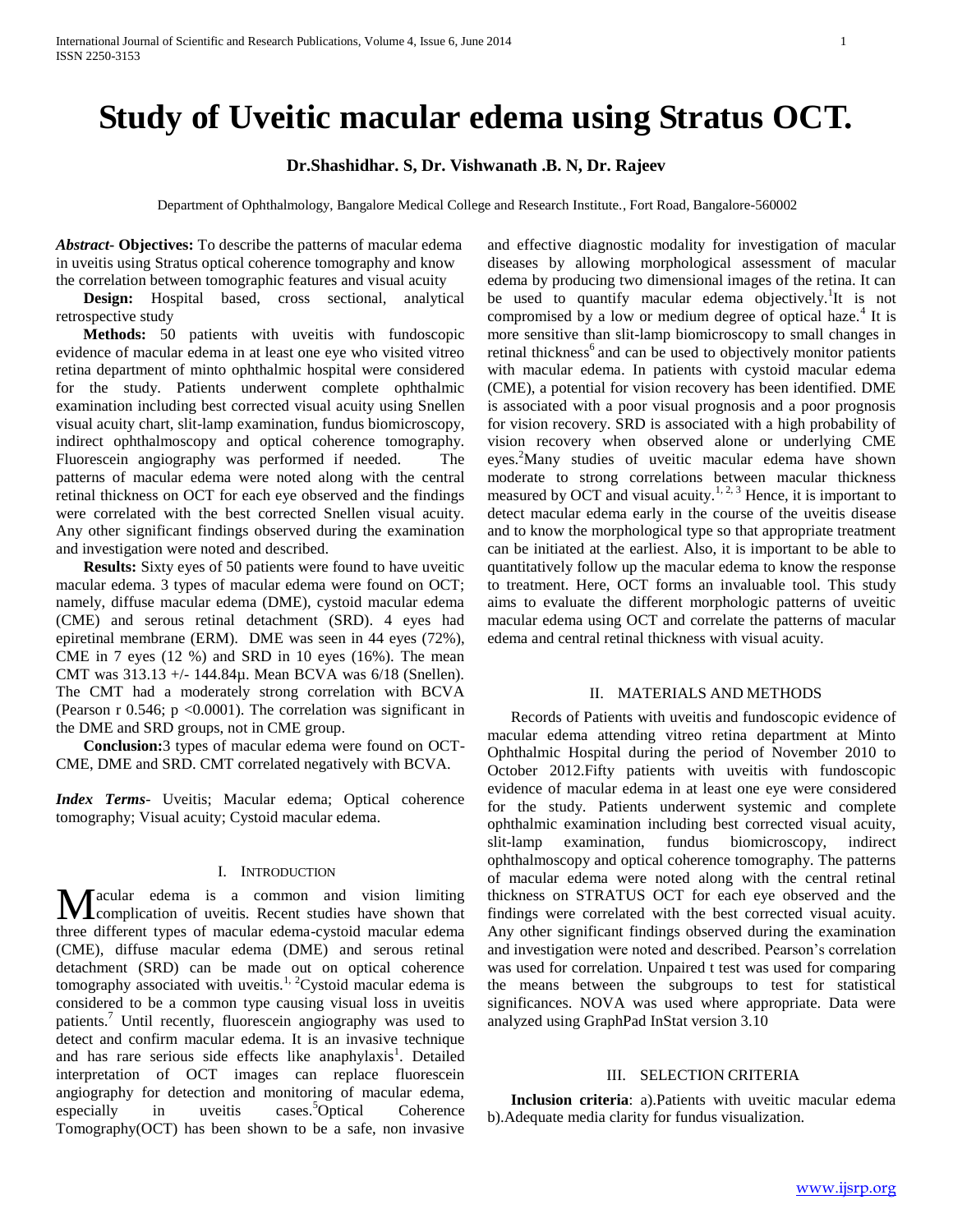# **Study of Uveitic macular edema using Stratus OCT.**

# **Dr.Shashidhar. S, Dr. Vishwanath .B. N, Dr. Rajeev**

Department of Ophthalmology, Bangalore Medical College and Research Institute., Fort Road, Bangalore-560002

*Abstract***- Objectives:** To describe the patterns of macular edema in uveitis using Stratus optical coherence tomography and know the correlation between tomographic features and visual acuity

 **Design:** Hospital based, cross sectional, analytical retrospective study

 **Methods:** 50 patients with uveitis with fundoscopic evidence of macular edema in at least one eye who visited vitreo retina department of minto ophthalmic hospital were considered for the study. Patients underwent complete ophthalmic examination including best corrected visual acuity using Snellen visual acuity chart, slit-lamp examination, fundus biomicroscopy, indirect ophthalmoscopy and optical coherence tomography. Fluorescein angiography was performed if needed. The patterns of macular edema were noted along with the central retinal thickness on OCT for each eye observed and the findings were correlated with the best corrected Snellen visual acuity. Any other significant findings observed during the examination and investigation were noted and described.

 **Results:** Sixty eyes of 50 patients were found to have uveitic macular edema. 3 types of macular edema were found on OCT; namely, diffuse macular edema (DME), cystoid macular edema (CME) and serous retinal detachment (SRD). 4 eyes had epiretinal membrane (ERM). DME was seen in 44 eyes (72%), CME in 7 eyes (12 %) and SRD in 10 eyes (16%). The mean CMT was 313.13 +/- 144.84µ. Mean BCVA was 6/18 (Snellen). The CMT had a moderately strong correlation with BCVA (Pearson r  $0.546$ ; p <0.0001). The correlation was significant in the DME and SRD groups, not in CME group.

 **Conclusion:**3 types of macular edema were found on OCT-CME, DME and SRD. CMT correlated negatively with BCVA.

*Index Terms*- Uveitis; Macular edema; Optical coherence tomography; Visual acuity; Cystoid macular edema.

# I. INTRODUCTION

acular edema is a common and vision limiting **M** acular edema is a common and vision limiting<br>complication of uveitis. Recent studies have shown that three different types of macular edema-cystoid macular edema (CME), diffuse macular edema (DME) and serous retinal detachment (SRD) can be made out on optical coherence tomography associated with uveitis.<sup>1, 2</sup>Cystoid macular edema is considered to be a common type causing visual loss in uveitis patients.<sup>7</sup> Until recently, fluorescein angiography was used to detect and confirm macular edema. It is an invasive technique and has rare serious side effects like anaphylaxis<sup>1</sup>. Detailed interpretation of OCT images can replace fluorescein angiography for detection and monitoring of macular edema, especially in uveitis cases.<sup>5</sup>Optical Coherence Tomography(OCT) has been shown to be a safe, non invasive

and effective diagnostic modality for investigation of macular diseases by allowing morphological assessment of macular edema by producing two dimensional images of the retina. It can be used to quantify macular edema objectively.<sup>1</sup>It is not compromised by a low or medium degree of optical haze.<sup>4</sup> It is more sensitive than slit-lamp biomicroscopy to small changes in retinal thickness<sup>6</sup> and can be used to objectively monitor patients with macular edema. In patients with cystoid macular edema (CME), a potential for vision recovery has been identified. DME is associated with a poor visual prognosis and a poor prognosis for vision recovery. SRD is associated with a high probability of vision recovery when observed alone or underlying CME eyes.<sup>2</sup>Many studies of uveitic macular edema have shown moderate to strong correlations between macular thickness measured by OCT and visual acuity.<sup>1, 2, 3</sup> Hence, it is important to detect macular edema early in the course of the uveitis disease and to know the morphological type so that appropriate treatment can be initiated at the earliest. Also, it is important to be able to quantitatively follow up the macular edema to know the response to treatment. Here, OCT forms an invaluable tool. This study aims to evaluate the different morphologic patterns of uveitic macular edema using OCT and correlate the patterns of macular edema and central retinal thickness with visual acuity.

## II. MATERIALS AND METHODS

 Records of Patients with uveitis and fundoscopic evidence of macular edema attending vitreo retina department at Minto Ophthalmic Hospital during the period of November 2010 to October 2012.Fifty patients with uveitis with fundoscopic evidence of macular edema in at least one eye were considered for the study. Patients underwent systemic and complete ophthalmic examination including best corrected visual acuity, slit-lamp examination, fundus biomicroscopy, indirect ophthalmoscopy and optical coherence tomography. The patterns of macular edema were noted along with the central retinal thickness on STRATUS OCT for each eye observed and the findings were correlated with the best corrected visual acuity. Any other significant findings observed during the examination and investigation were noted and described. Pearson's correlation was used for correlation. Unpaired t test was used for comparing the means between the subgroups to test for statistical significances. NOVA was used where appropriate. Data were analyzed using GraphPad InStat version 3.10

## III. SELECTION CRITERIA

 **Inclusion criteria**: a).Patients with uveitic macular edema b).Adequate media clarity for fundus visualization.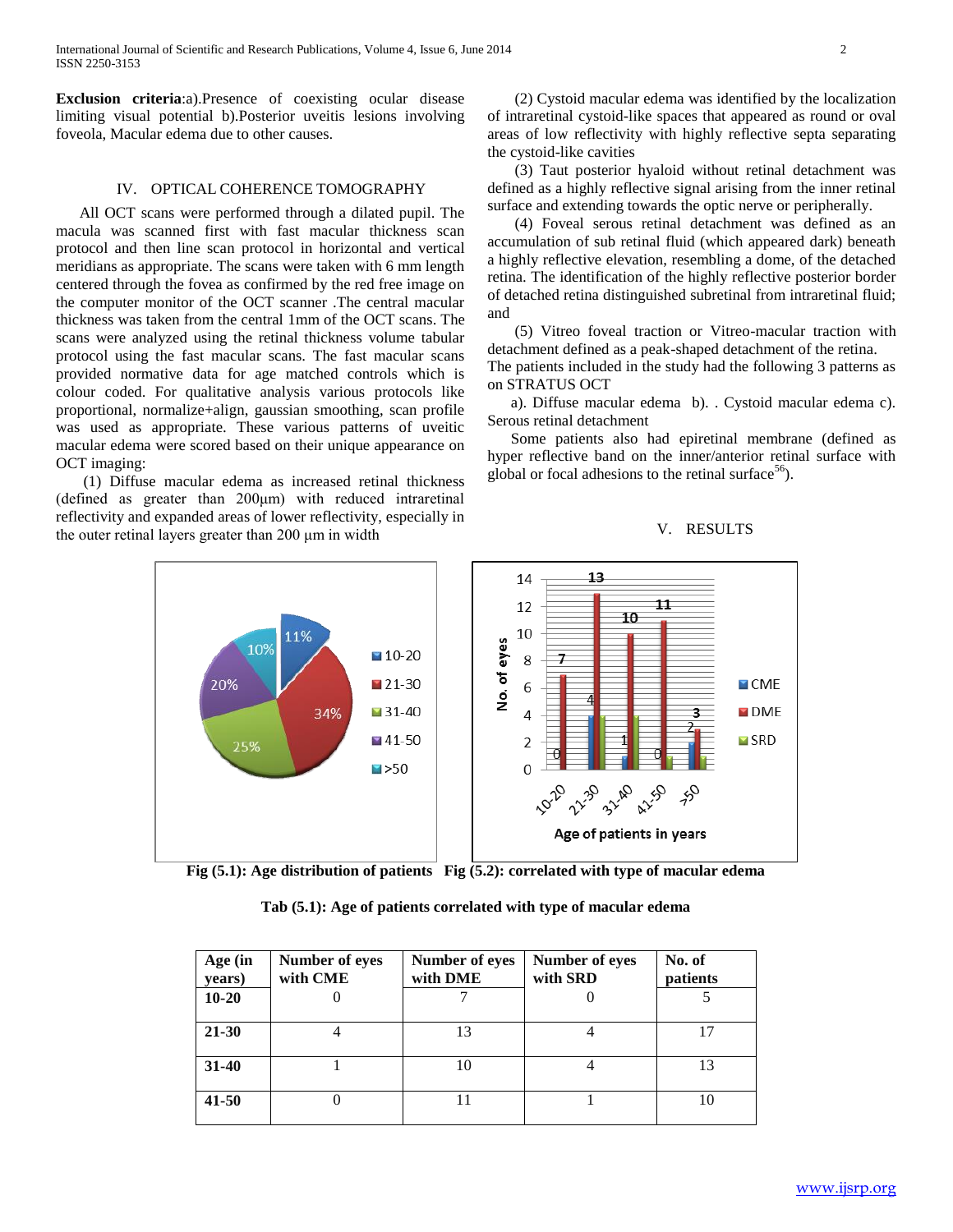**Exclusion criteria**:a).Presence of coexisting ocular disease limiting visual potential b).Posterior uveitis lesions involving foveola, Macular edema due to other causes.

## IV. OPTICAL COHERENCE TOMOGRAPHY

 All OCT scans were performed through a dilated pupil. The macula was scanned first with fast macular thickness scan protocol and then line scan protocol in horizontal and vertical meridians as appropriate. The scans were taken with 6 mm length centered through the fovea as confirmed by the red free image on the computer monitor of the OCT scanner .The central macular thickness was taken from the central 1mm of the OCT scans. The scans were analyzed using the retinal thickness volume tabular protocol using the fast macular scans. The fast macular scans provided normative data for age matched controls which is colour coded. For qualitative analysis various protocols like proportional, normalize+align, gaussian smoothing, scan profile was used as appropriate. These various patterns of uveitic macular edema were scored based on their unique appearance on OCT imaging:

 (1) Diffuse macular edema as increased retinal thickness (defined as greater than 200μm) with reduced intraretinal reflectivity and expanded areas of lower reflectivity, especially in the outer retinal layers greater than 200 μm in width

 (2) Cystoid macular edema was identified by the localization of intraretinal cystoid-like spaces that appeared as round or oval areas of low reflectivity with highly reflective septa separating the cystoid-like cavities

 (3) Taut posterior hyaloid without retinal detachment was defined as a highly reflective signal arising from the inner retinal surface and extending towards the optic nerve or peripherally.

 (4) Foveal serous retinal detachment was defined as an accumulation of sub retinal fluid (which appeared dark) beneath a highly reflective elevation, resembling a dome, of the detached retina. The identification of the highly reflective posterior border of detached retina distinguished subretinal from intraretinal fluid; and

 (5) Vitreo foveal traction or Vitreo-macular traction with detachment defined as a peak-shaped detachment of the retina.

The patients included in the study had the following 3 patterns as on STRATUS OCT

 a). Diffuse macular edema b). . Cystoid macular edema c). Serous retinal detachment

 Some patients also had epiretinal membrane (defined as hyper reflective band on the inner/anterior retinal surface with global or focal adhesions to the retinal surface<sup>56</sup>).

## V. RESULTS



**Fig (5.1): Age distribution of patients Fig (5.2): correlated with type of macular edema**

**Tab (5.1): Age of patients correlated with type of macular edema**

| Age (in<br>years) | Number of eyes<br>with CME | Number of eyes<br>with DME | Number of eyes<br>with SRD | No. of<br>patients |
|-------------------|----------------------------|----------------------------|----------------------------|--------------------|
| $10 - 20$         | $\theta$                   |                            |                            |                    |
| $21 - 30$         |                            | 13                         |                            | 17                 |
| $31 - 40$         |                            | 10                         |                            | 13                 |
| $41 - 50$         |                            |                            |                            | 10                 |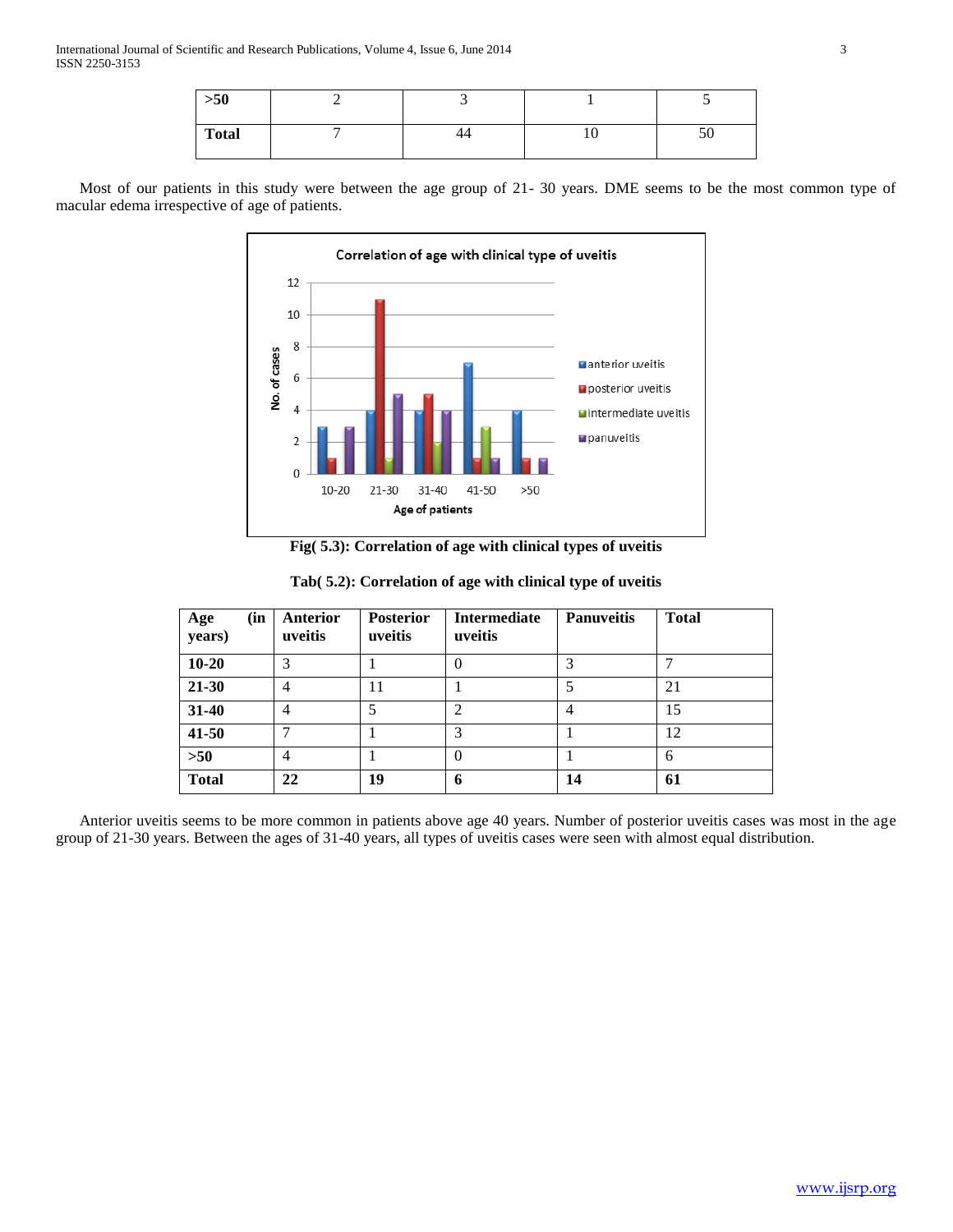| $>50$        |    |                |                 |
|--------------|----|----------------|-----------------|
| <b>Total</b> | 44 | 1 <sub>O</sub> | cΩ<br><b>JU</b> |

 Most of our patients in this study were between the age group of 21- 30 years. DME seems to be the most common type of macular edema irrespective of age of patients.



**Fig( 5.3): Correlation of age with clinical types of uveitis**

| (in<br>Age<br>years) | <b>Anterior</b><br>uveitis | <b>Posterior</b><br>uveitis | <b>Intermediate</b><br>uveitis | <b>Panuveitis</b> | <b>Total</b> |
|----------------------|----------------------------|-----------------------------|--------------------------------|-------------------|--------------|
| $10 - 20$            | 3                          |                             | 0                              | 3                 |              |
| 21-30                | 4                          | 11                          |                                | 5                 | 21           |
| 31-40                | 4                          | 5                           | $\overline{2}$                 | 4                 | 15           |
| 41-50                |                            |                             | 3                              |                   | 12           |
| $>50$                | 4                          |                             | $\Omega$                       |                   | 6            |
| <b>Total</b>         | 22                         | 19                          | 6                              | 14                | 61           |

| Tab(5.2): Correlation of age with clinical type of uveitis |  |  |  |
|------------------------------------------------------------|--|--|--|
|                                                            |  |  |  |

 Anterior uveitis seems to be more common in patients above age 40 years. Number of posterior uveitis cases was most in the age group of 21-30 years. Between the ages of 31-40 years, all types of uveitis cases were seen with almost equal distribution.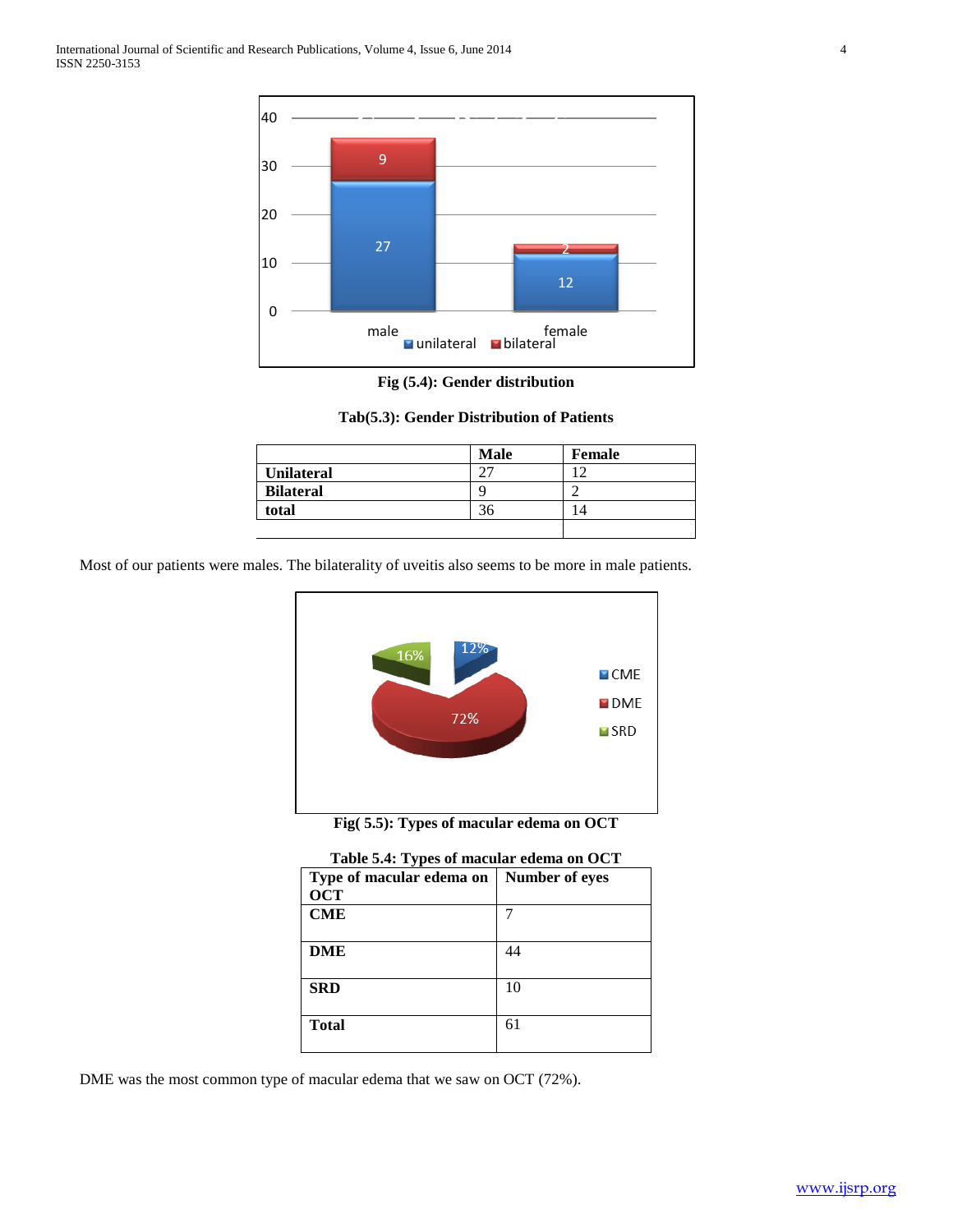

**Fig (5.4): Gender distribution**

**Tab(5.3): Gender Distribution of Patients**

|                   | <b>Male</b> | <b>Female</b> |
|-------------------|-------------|---------------|
| <b>Unilateral</b> |             |               |
| <b>Bilateral</b>  | c           | $\sqrt{2}$    |
| total             |             |               |
|                   |             |               |

Most of our patients were males. The bilaterality of uveitis also seems to be more in male patients.



**Fig( 5.5): Types of macular edema on OCT**

| Table 5.4: Types of macular edema on OCT |                |  |  |  |  |
|------------------------------------------|----------------|--|--|--|--|
| Type of macular edema on                 | Number of eyes |  |  |  |  |
| <b>OCT</b>                               |                |  |  |  |  |
| <b>CME</b>                               |                |  |  |  |  |
| DME                                      | 44             |  |  |  |  |
| <b>SRD</b>                               | 10             |  |  |  |  |
| <b>Total</b>                             | 61             |  |  |  |  |

DME was the most common type of macular edema that we saw on OCT (72%).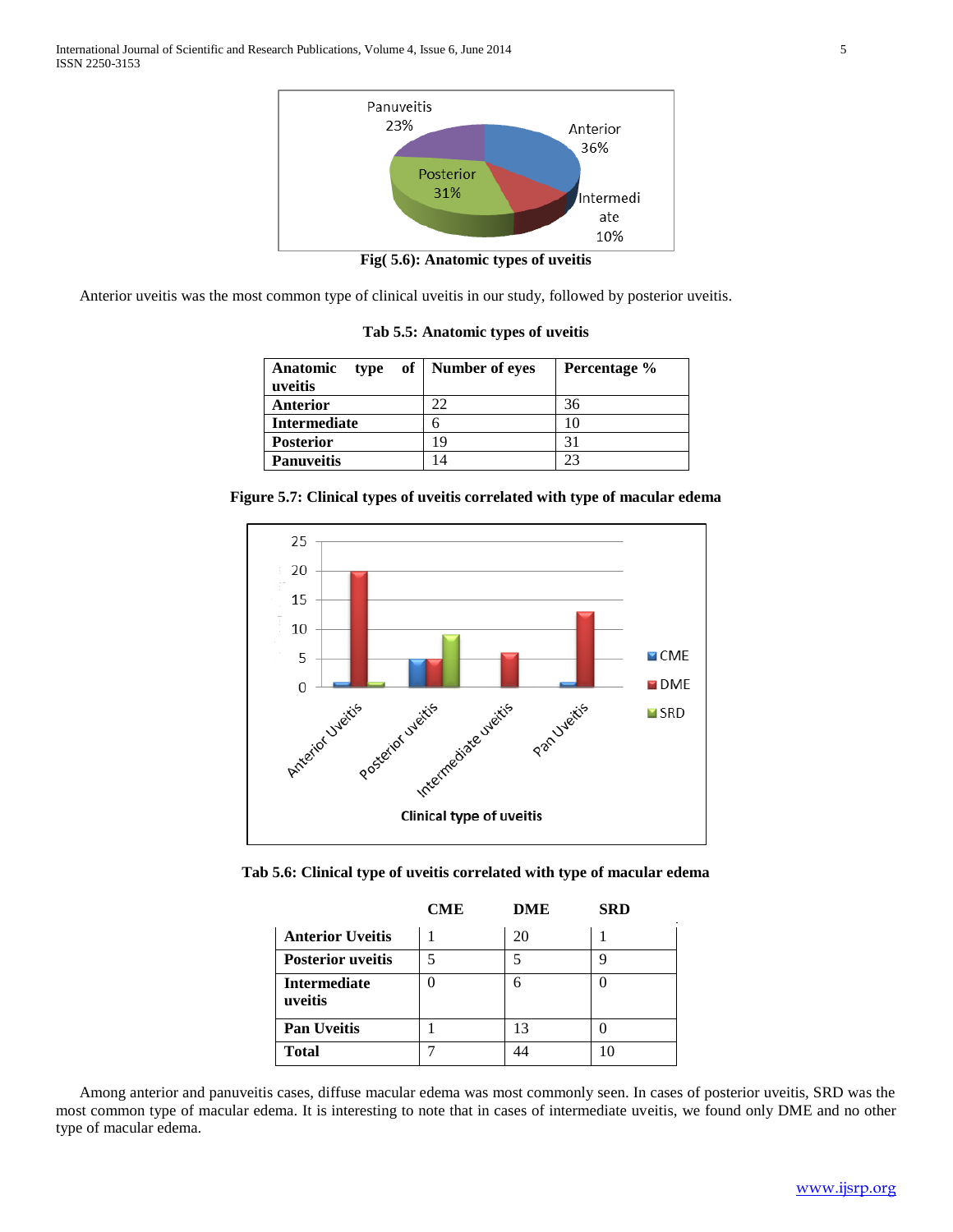

**Fig( 5.6): Anatomic types of uveitis**

Anterior uveitis was the most common type of clinical uveitis in our study, followed by posterior uveitis.

| Anatomic<br>uveitis | type of   Number of eyes | Percentage % |
|---------------------|--------------------------|--------------|
| <b>Anterior</b>     | 22                       | 36           |
| <b>Intermediate</b> |                          | 10           |
| <b>Posterior</b>    | 19                       | 31           |
| <b>Panuveitis</b>   | 14                       | 23           |

**Tab 5.5: Anatomic types of uveitis**

|  |  | Figure 5.7: Clinical types of uveitis correlated with type of macular edema |  |  |  |
|--|--|-----------------------------------------------------------------------------|--|--|--|
|  |  |                                                                             |  |  |  |



**Tab 5.6: Clinical type of uveitis correlated with type of macular edema**

|                                | <b>CME</b> | DME | <b>SRD</b> |
|--------------------------------|------------|-----|------------|
| <b>Anterior Uveitis</b>        |            | 20  |            |
| <b>Posterior uveitis</b>       |            |     |            |
| <b>Intermediate</b><br>uveitis |            | 6   |            |
| <b>Pan Uveitis</b>             |            | 13  |            |
| <b>Total</b>                   |            | 44  | 10         |

 Among anterior and panuveitis cases, diffuse macular edema was most commonly seen. In cases of posterior uveitis, SRD was the most common type of macular edema. It is interesting to note that in cases of intermediate uveitis, we found only DME and no other type of macular edema.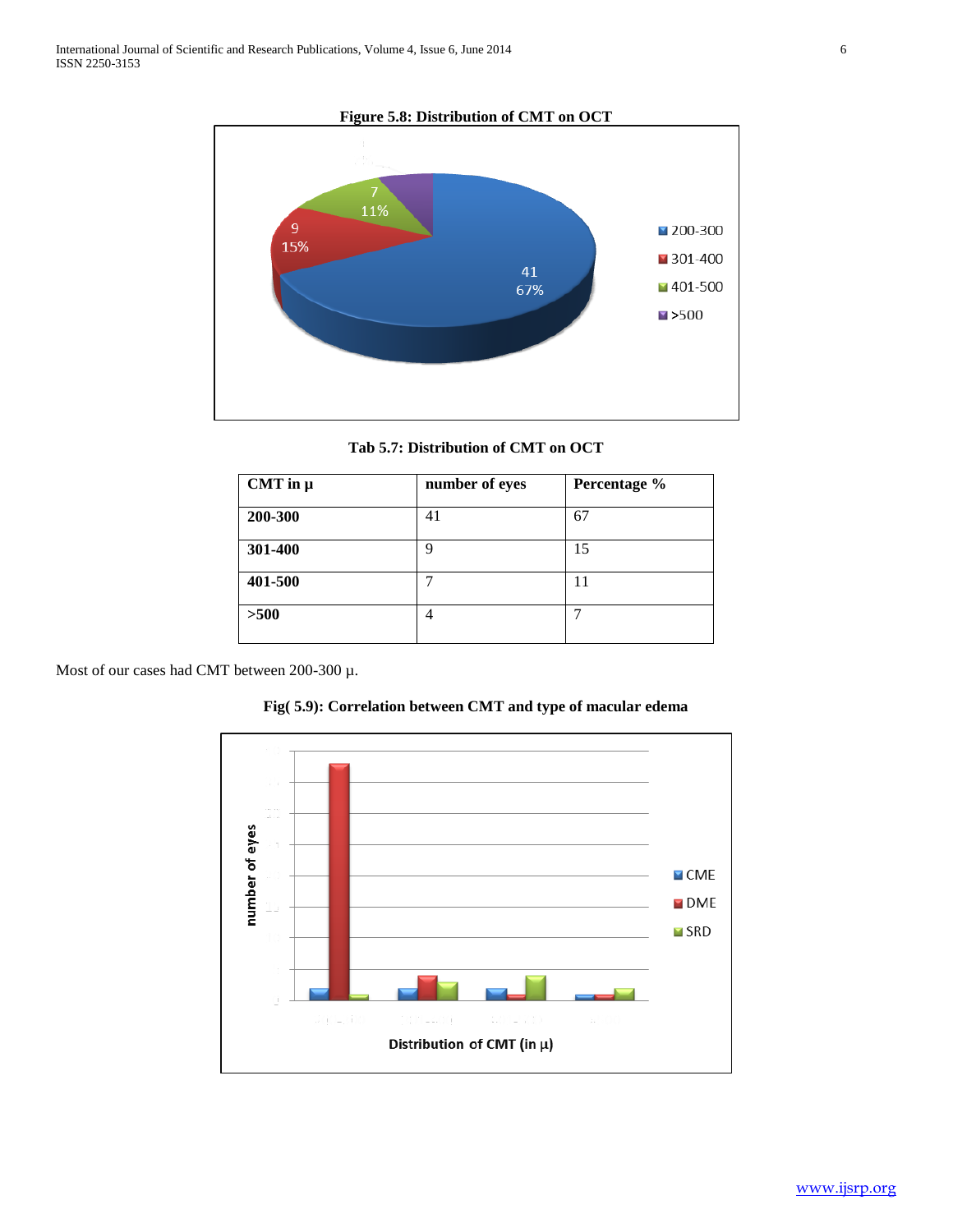**Figure 5.8: Distribution of CMT on OCT**



**Tab 5.7: Distribution of CMT on OCT**

| CMT in $\mu$ | number of eyes | Percentage % |
|--------------|----------------|--------------|
| 200-300      | 41             | 67           |
| 301-400      | 9              | 15           |
| 401-500      |                | 11           |
| >500         | 4              |              |

Most of our cases had CMT between 200-300 µ.



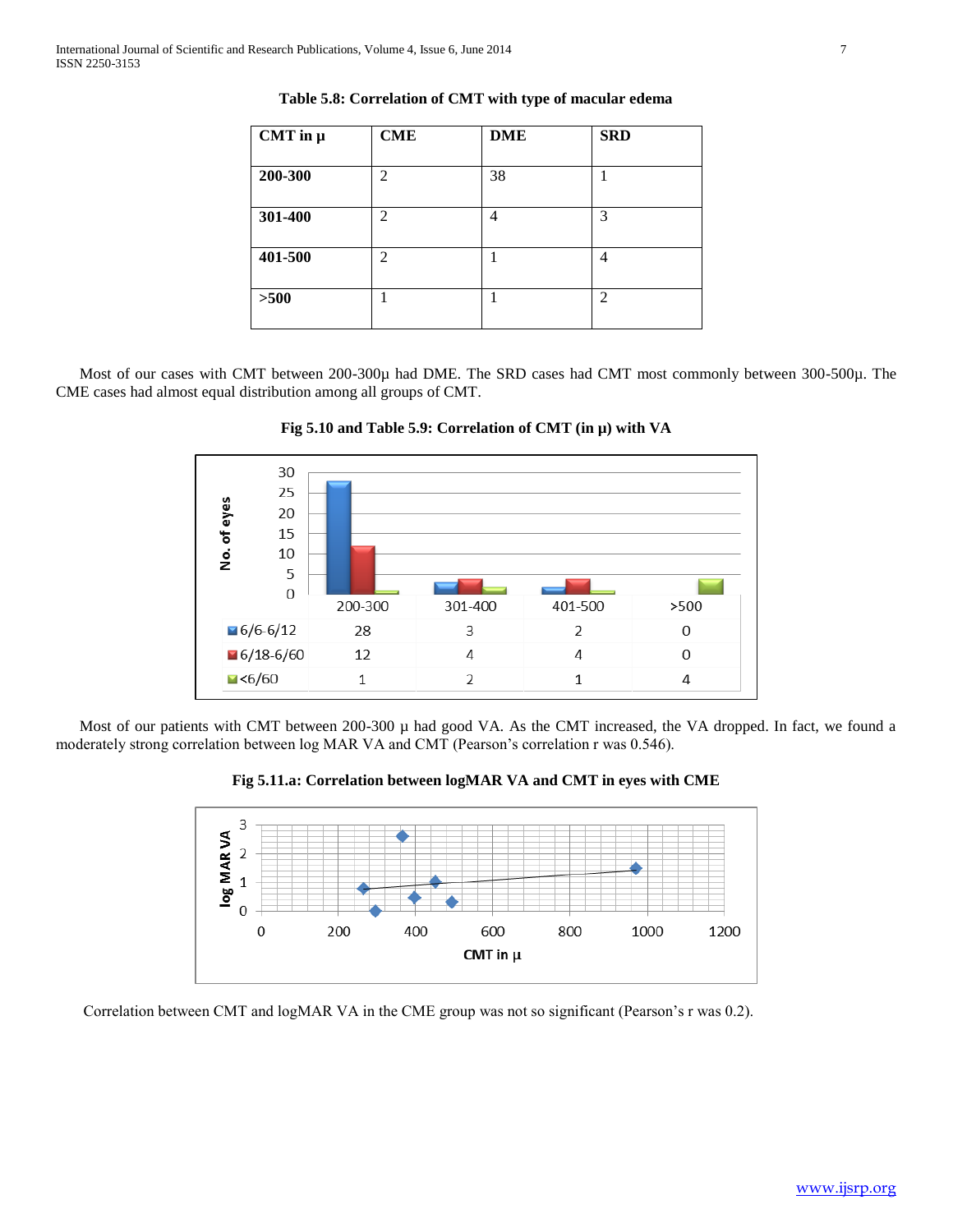| CMT in $\mu$ | <b>CME</b>     | <b>DME</b> | <b>SRD</b>     |
|--------------|----------------|------------|----------------|
| 200-300      | $\overline{c}$ | 38         |                |
| 301-400      | $\overline{c}$ | 4          | 3              |
| 401-500      | $\overline{c}$ |            | 4              |
| $>500$       |                | 1          | $\overline{2}$ |

**Table 5.8: Correlation of CMT with type of macular edema**

Most of our cases with CMT between 200-300µ had DME. The SRD cases had CMT most commonly between 300-500µ. The CME cases had almost equal distribution among all groups of CMT.





Most of our patients with CMT between  $200-300 \mu$  had good VA. As the CMT increased, the VA dropped. In fact, we found a moderately strong correlation between log MAR VA and CMT (Pearson's correlation r was 0.546).

**Fig 5.11.a: Correlation between logMAR VA and CMT in eyes with CME**



Correlation between CMT and logMAR VA in the CME group was not so significant (Pearson's r was 0.2).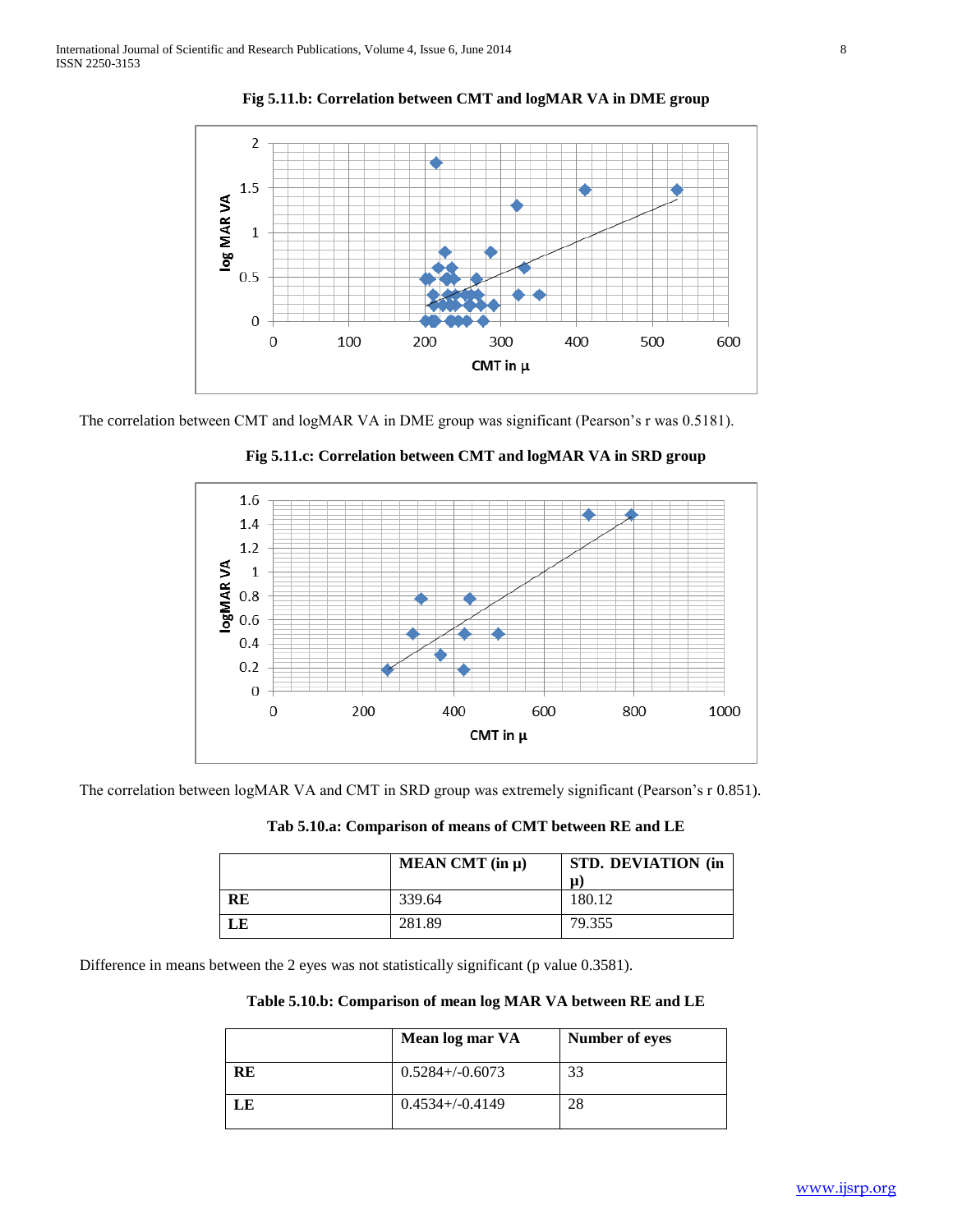

**Fig 5.11.b: Correlation between CMT and logMAR VA in DME group**

The correlation between CMT and logMAR VA in DME group was significant (Pearson's r was 0.5181).



**Fig 5.11.c: Correlation between CMT and logMAR VA in SRD group**

The correlation between logMAR VA and CMT in SRD group was extremely significant (Pearson's r 0.851).

**Tab 5.10.a: Comparison of means of CMT between RE and LE**

|    | MEAN CMT $(in \mu)$ | <b>STD. DEVIATION (in</b><br>μ |
|----|---------------------|--------------------------------|
| RE | 339.64              | 180.12                         |
| LE | 281.89              | 79.355                         |

Difference in means between the 2 eyes was not statistically significant (p value 0.3581).

**Table 5.10.b: Comparison of mean log MAR VA between RE and LE**

|           | Mean log mar VA      | Number of eyes |
|-----------|----------------------|----------------|
| <b>RE</b> | $0.5284 + (-0.6073)$ | 33             |
| LE        | $0.4534 + (-0.4149)$ | 28             |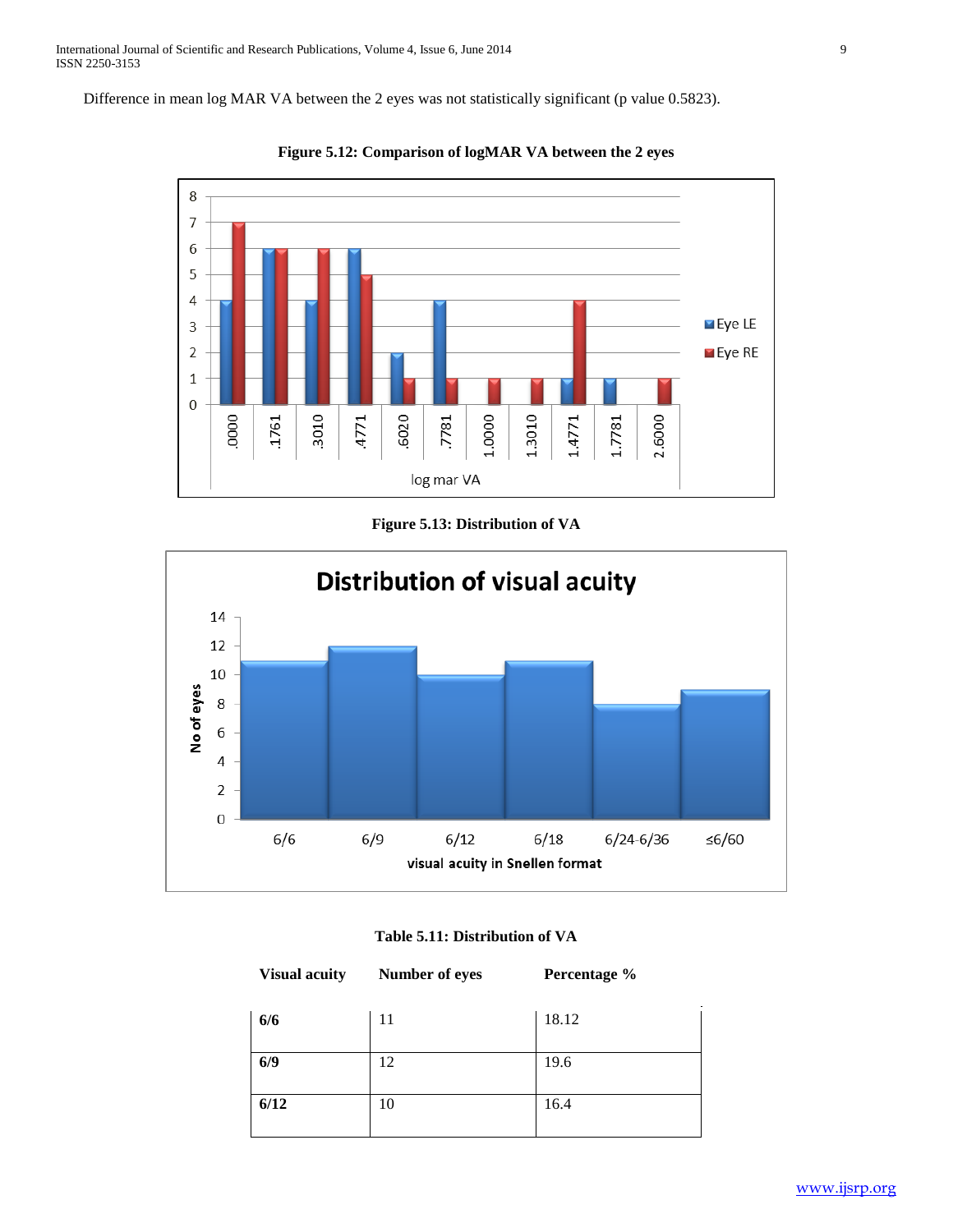Difference in mean log MAR VA between the 2 eyes was not statistically significant (p value 0.5823).



**Figure 5.12: Comparison of logMAR VA between the 2 eyes**







| <b>Visual acuity</b> | Number of eyes | Percentage % |
|----------------------|----------------|--------------|
| 6/6                  | 11             | 18.12        |
| 6/9                  | 12             | 19.6         |
| 6/12                 | 10             | 16.4         |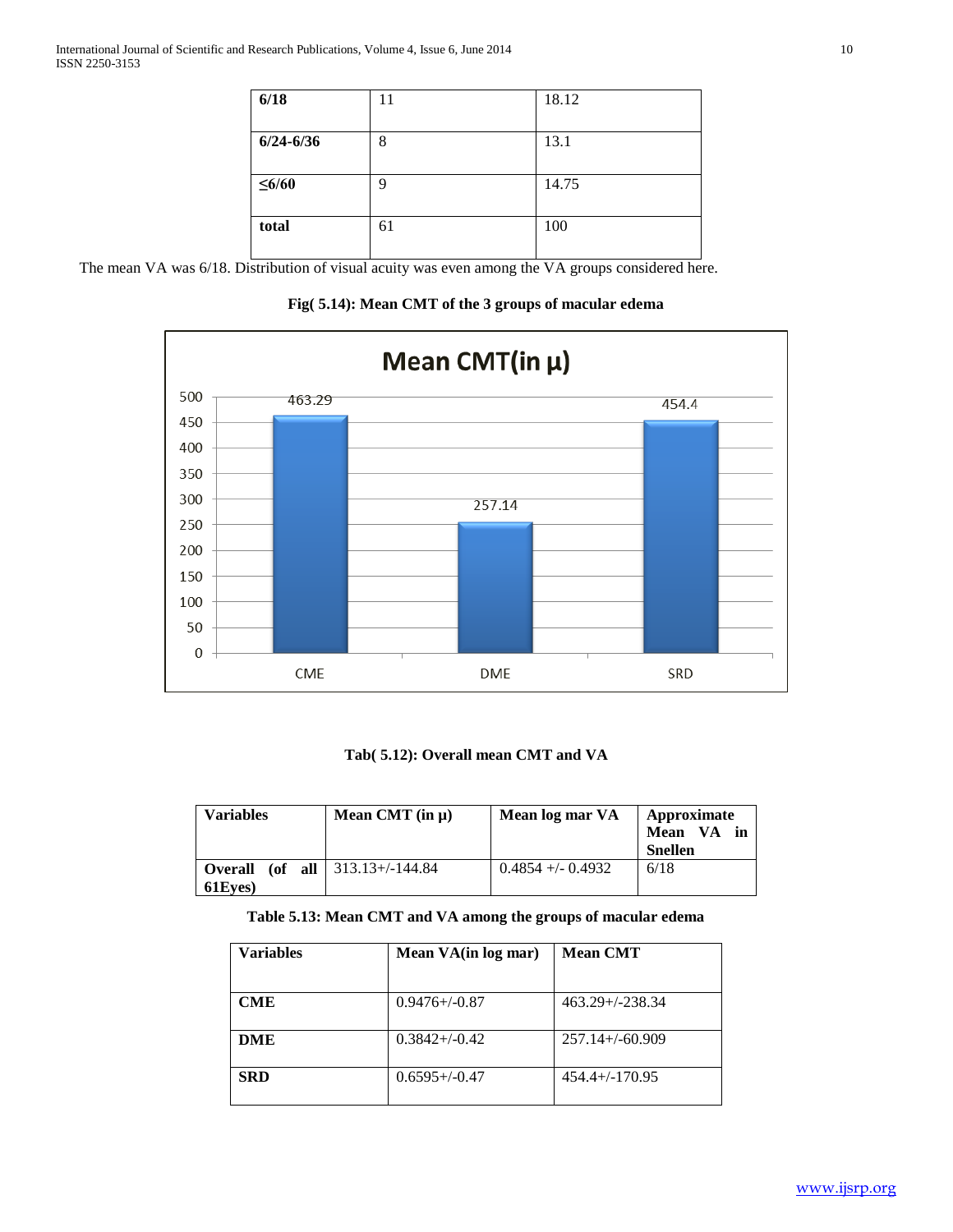| 6/18          | 11 | 18.12 |
|---------------|----|-------|
| $6/24 - 6/36$ | 8  | 13.1  |
| $\leq 6/60$   | 9  | 14.75 |
| total         | 61 | 100   |

The mean VA was 6/18. Distribution of visual acuity was even among the VA groups considered here.

**Fig( 5.14): Mean CMT of the 3 groups of macular edema**



# **Tab( 5.12): Overall mean CMT and VA**

| <b>Variables</b>   | Mean CMT $(in \mu)$                 | Mean log mar VA      | Approximate<br>Mean VA in<br>Snellen |
|--------------------|-------------------------------------|----------------------|--------------------------------------|
| Overall<br>61Eves) | (of all $ 313.13+\frac{1}{4}4.84$ ) | $0.4854 + (-0.4932)$ | 6/18                                 |

# **Table 5.13: Mean CMT and VA among the groups of macular edema**

| <b>Variables</b> | Mean VA(in log mar) | <b>Mean CMT</b>      |
|------------------|---------------------|----------------------|
| <b>CME</b>       | $0.9476 + (-0.87)$  | $463.29 + (-238.34)$ |
| DME              | $0.3842 + (-0.42)$  | $257.14+\{-60.909$   |
| <b>SRD</b>       | $0.6595 + (-0.47)$  | $454.4+/-170.95$     |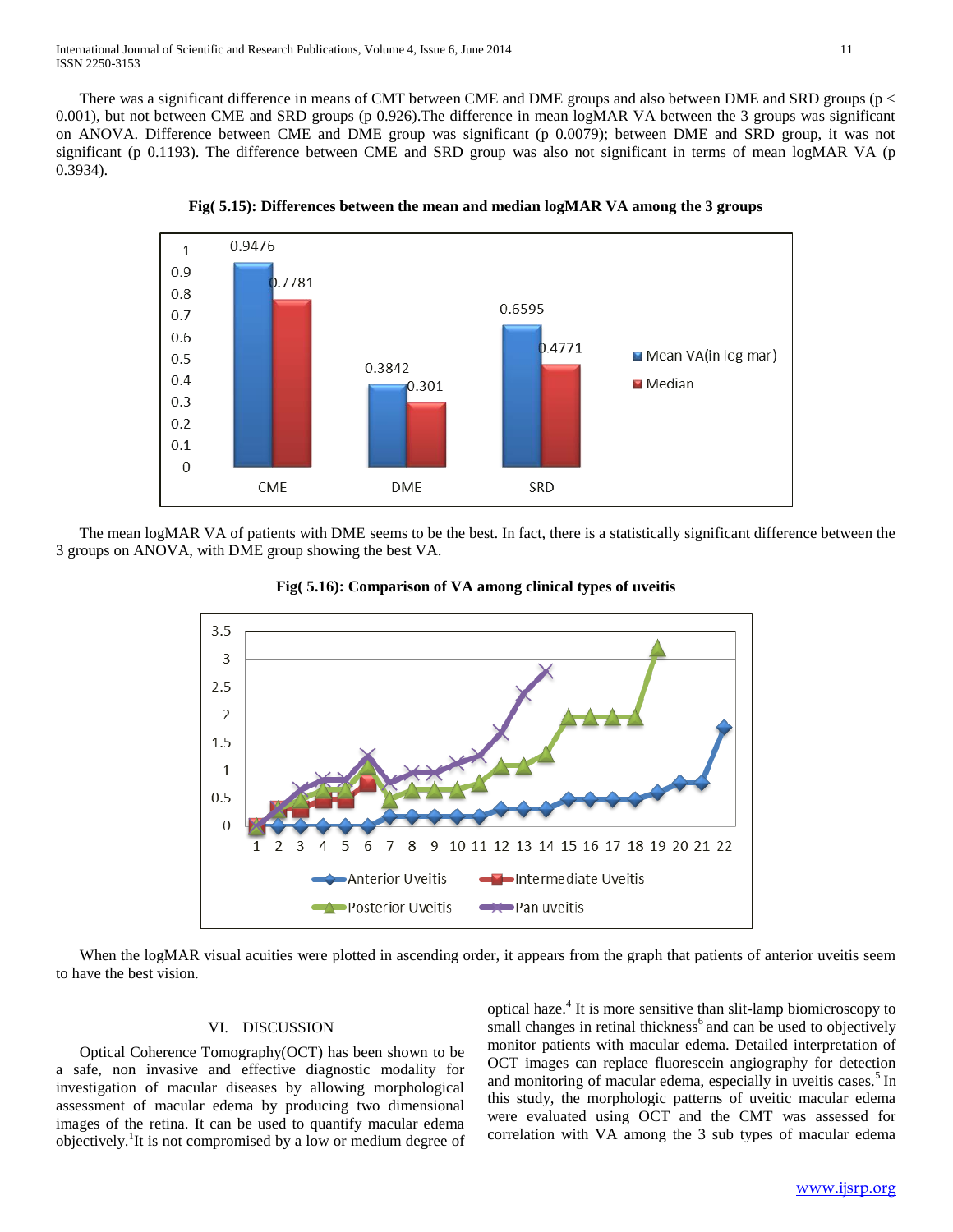There was a significant difference in means of CMT between CME and DME groups and also between DME and SRD groups (p < 0.001), but not between CME and SRD groups (p 0.926). The difference in mean logMAR VA between the 3 groups was significant on ANOVA. Difference between CME and DME group was significant (p 0.0079); between DME and SRD group, it was not significant (p 0.1193). The difference between CME and SRD group was also not significant in terms of mean logMAR VA (p 0.3934).



**Fig( 5.15): Differences between the mean and median logMAR VA among the 3 groups**

 The mean logMAR VA of patients with DME seems to be the best. In fact, there is a statistically significant difference between the 3 groups on ANOVA, with DME group showing the best VA.





When the logMAR visual acuities were plotted in ascending order, it appears from the graph that patients of anterior uveitis seem to have the best vision.

# VI. DISCUSSION

 Optical Coherence Tomography(OCT) has been shown to be a safe, non invasive and effective diagnostic modality for investigation of macular diseases by allowing morphological assessment of macular edema by producing two dimensional images of the retina. It can be used to quantify macular edema objectively.<sup>1</sup>It is not compromised by a low or medium degree of

optical haze.<sup>4</sup> It is more sensitive than slit-lamp biomicroscopy to small changes in retinal thickness<sup>6</sup> and can be used to objectively monitor patients with macular edema. Detailed interpretation of OCT images can replace fluorescein angiography for detection and monitoring of macular edema, especially in uveitis cases.<sup>5</sup> In this study, the morphologic patterns of uveitic macular edema were evaluated using OCT and the CMT was assessed for correlation with VA among the 3 sub types of macular edema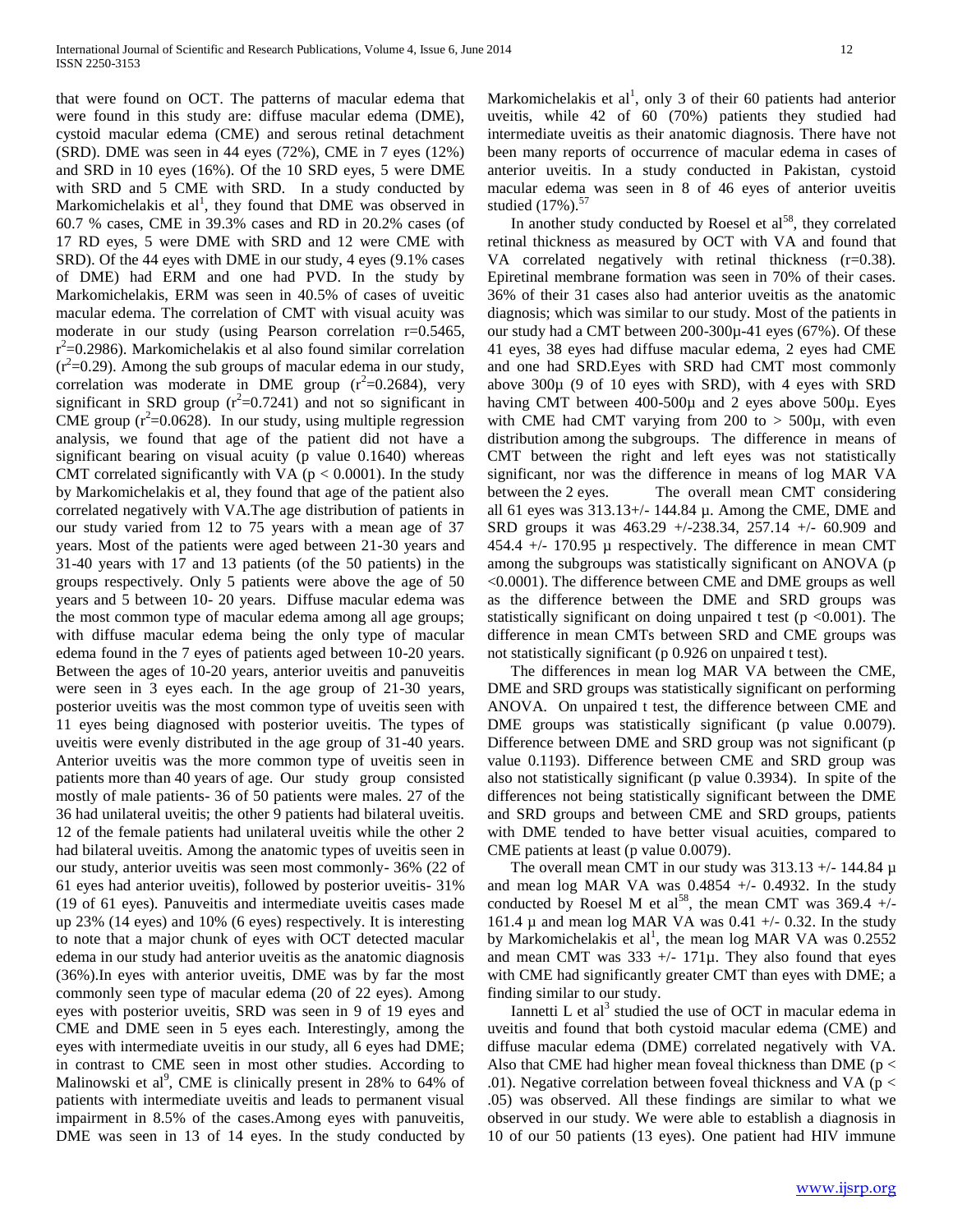that were found on OCT. The patterns of macular edema that were found in this study are: diffuse macular edema (DME), cystoid macular edema (CME) and serous retinal detachment (SRD). DME was seen in 44 eyes (72%), CME in 7 eyes (12%) and SRD in 10 eyes (16%). Of the 10 SRD eyes, 5 were DME with SRD and 5 CME with SRD. In a study conducted by Markomichelakis et al<sup>1</sup>, they found that DME was observed in 60.7 % cases, CME in 39.3% cases and RD in 20.2% cases (of 17 RD eyes, 5 were DME with SRD and 12 were CME with SRD). Of the 44 eyes with DME in our study, 4 eyes (9.1% cases of DME) had ERM and one had PVD. In the study by Markomichelakis, ERM was seen in 40.5% of cases of uveitic macular edema. The correlation of CMT with visual acuity was moderate in our study (using Pearson correlation r=0.5465,  $r^2$ =0.2986). Markomichelakis et al also found similar correlation  $(r<sup>2</sup>=0.29)$ . Among the sub groups of macular edema in our study, correlation was moderate in DME group  $(r^2=0.2684)$ , very significant in SRD group  $(r^2=0.7241)$  and not so significant in CME group  $(r^2=0.0628)$ . In our study, using multiple regression analysis, we found that age of the patient did not have a significant bearing on visual acuity (p value 0.1640) whereas CMT correlated significantly with VA ( $p < 0.0001$ ). In the study by Markomichelakis et al, they found that age of the patient also correlated negatively with VA.The age distribution of patients in our study varied from 12 to 75 years with a mean age of 37 years. Most of the patients were aged between 21-30 years and 31-40 years with 17 and 13 patients (of the 50 patients) in the groups respectively. Only 5 patients were above the age of 50 years and 5 between 10- 20 years. Diffuse macular edema was the most common type of macular edema among all age groups; with diffuse macular edema being the only type of macular edema found in the 7 eyes of patients aged between 10-20 years. Between the ages of 10-20 years, anterior uveitis and panuveitis were seen in 3 eyes each. In the age group of 21-30 years, posterior uveitis was the most common type of uveitis seen with 11 eyes being diagnosed with posterior uveitis. The types of uveitis were evenly distributed in the age group of 31-40 years. Anterior uveitis was the more common type of uveitis seen in patients more than 40 years of age. Our study group consisted mostly of male patients- 36 of 50 patients were males. 27 of the 36 had unilateral uveitis; the other 9 patients had bilateral uveitis. 12 of the female patients had unilateral uveitis while the other 2 had bilateral uveitis. Among the anatomic types of uveitis seen in our study, anterior uveitis was seen most commonly- 36% (22 of 61 eyes had anterior uveitis), followed by posterior uveitis- 31% (19 of 61 eyes). Panuveitis and intermediate uveitis cases made up 23% (14 eyes) and 10% (6 eyes) respectively. It is interesting to note that a major chunk of eyes with OCT detected macular edema in our study had anterior uveitis as the anatomic diagnosis (36%).In eyes with anterior uveitis, DME was by far the most commonly seen type of macular edema (20 of 22 eyes). Among eyes with posterior uveitis, SRD was seen in 9 of 19 eyes and CME and DME seen in 5 eyes each. Interestingly, among the eyes with intermediate uveitis in our study, all 6 eyes had DME; in contrast to CME seen in most other studies. According to Malinowski et al<sup>9</sup>, CME is clinically present in 28% to 64% of patients with intermediate uveitis and leads to permanent visual impairment in 8.5% of the cases.Among eyes with panuveitis, DME was seen in 13 of 14 eyes. In the study conducted by

Markomichelakis et al<sup>1</sup>, only 3 of their 60 patients had anterior uveitis, while 42 of 60 (70%) patients they studied had intermediate uveitis as their anatomic diagnosis. There have not been many reports of occurrence of macular edema in cases of anterior uveitis. In a study conducted in Pakistan, cystoid macular edema was seen in 8 of 46 eyes of anterior uveitis studied  $(17\%)$ .<sup>57</sup>

In another study conducted by Roesel et  $al<sup>58</sup>$ , they correlated retinal thickness as measured by OCT with VA and found that VA correlated negatively with retinal thickness (r=0.38). Epiretinal membrane formation was seen in 70% of their cases. 36% of their 31 cases also had anterior uveitis as the anatomic diagnosis; which was similar to our study. Most of the patients in our study had a CMT between 200-300µ-41 eyes (67%). Of these 41 eyes, 38 eyes had diffuse macular edema, 2 eyes had CME and one had SRD.Eyes with SRD had CMT most commonly above 300µ (9 of 10 eyes with SRD), with 4 eyes with SRD having CMT between 400-500µ and 2 eyes above 500µ. Eyes with CME had CMT varying from 200 to  $> 500\mu$ , with even distribution among the subgroups. The difference in means of CMT between the right and left eyes was not statistically significant, nor was the difference in means of log MAR VA between the 2 eyes. The overall mean CMT considering all 61 eyes was 313.13+/- 144.84 µ. Among the CME, DME and SRD groups it was 463.29 +/-238.34, 257.14 +/- 60.909 and 454.4  $+/-$  170.95  $\mu$  respectively. The difference in mean CMT among the subgroups was statistically significant on ANOVA (p <0.0001). The difference between CME and DME groups as well as the difference between the DME and SRD groups was statistically significant on doing unpaired t test ( $p \le 0.001$ ). The difference in mean CMTs between SRD and CME groups was not statistically significant (p 0.926 on unpaired t test).

 The differences in mean log MAR VA between the CME, DME and SRD groups was statistically significant on performing ANOVA. On unpaired t test, the difference between CME and DME groups was statistically significant (p value 0.0079). Difference between DME and SRD group was not significant (p value 0.1193). Difference between CME and SRD group was also not statistically significant (p value 0.3934). In spite of the differences not being statistically significant between the DME and SRD groups and between CME and SRD groups, patients with DME tended to have better visual acuities, compared to CME patients at least (p value 0.0079).

The overall mean CMT in our study was  $313.13 +/- 144.84 \mu$ and mean log MAR VA was  $0.4854$  +/-  $0.4932$ . In the study conducted by Roesel M et  $a1^{58}$ , the mean CMT was  $369.4$  +/-161.4  $\mu$  and mean log MAR VA was 0.41 +/- 0.32. In the study by Markomichelakis et al<sup>1</sup>, the mean log MAR VA was 0.2552 and mean CMT was  $333 +/- 171\mu$ . They also found that eyes with CME had significantly greater CMT than eyes with DME; a finding similar to our study.

Iannetti L et al<sup>3</sup> studied the use of OCT in macular edema in uveitis and found that both cystoid macular edema (CME) and diffuse macular edema (DME) correlated negatively with VA. Also that CME had higher mean foveal thickness than DME ( $p <$ .01). Negative correlation between foveal thickness and VA ( $p <$ .05) was observed. All these findings are similar to what we observed in our study. We were able to establish a diagnosis in 10 of our 50 patients (13 eyes). One patient had HIV immune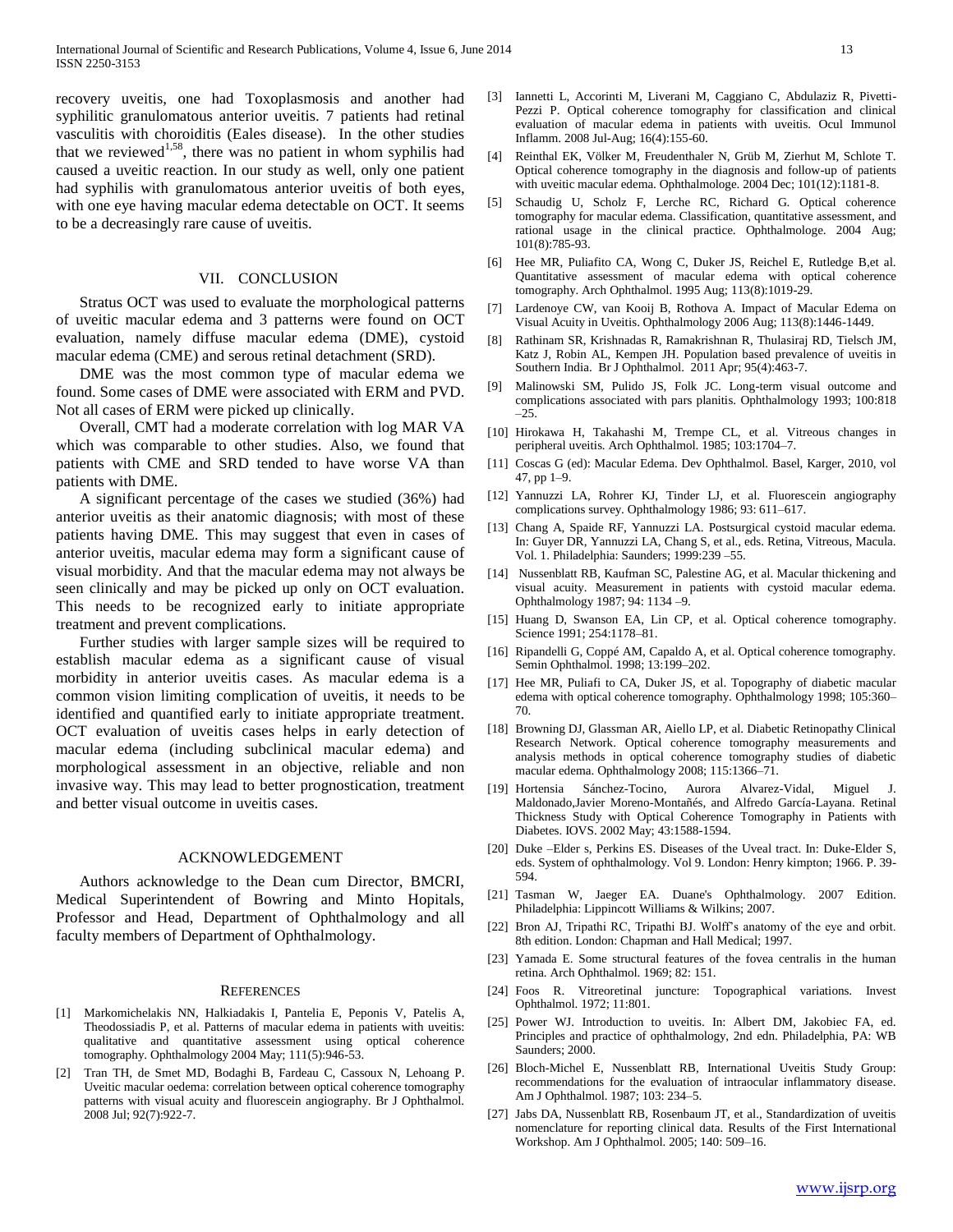recovery uveitis, one had Toxoplasmosis and another had syphilitic granulomatous anterior uveitis. 7 patients had retinal vasculitis with choroiditis (Eales disease). In the other studies that we reviewed<sup>1,58</sup>, there was no patient in whom syphilis had caused a uveitic reaction. In our study as well, only one patient had syphilis with granulomatous anterior uveitis of both eyes, with one eye having macular edema detectable on OCT. It seems to be a decreasingly rare cause of uveitis.

# VII. CONCLUSION

 Stratus OCT was used to evaluate the morphological patterns of uveitic macular edema and 3 patterns were found on OCT evaluation, namely diffuse macular edema (DME), cystoid macular edema (CME) and serous retinal detachment (SRD).

 DME was the most common type of macular edema we found. Some cases of DME were associated with ERM and PVD. Not all cases of ERM were picked up clinically.

 Overall, CMT had a moderate correlation with log MAR VA which was comparable to other studies. Also, we found that patients with CME and SRD tended to have worse VA than patients with DME.

 A significant percentage of the cases we studied (36%) had anterior uveitis as their anatomic diagnosis; with most of these patients having DME. This may suggest that even in cases of anterior uveitis, macular edema may form a significant cause of visual morbidity. And that the macular edema may not always be seen clinically and may be picked up only on OCT evaluation. This needs to be recognized early to initiate appropriate treatment and prevent complications.

 Further studies with larger sample sizes will be required to establish macular edema as a significant cause of visual morbidity in anterior uveitis cases. As macular edema is a common vision limiting complication of uveitis, it needs to be identified and quantified early to initiate appropriate treatment. OCT evaluation of uveitis cases helps in early detection of macular edema (including subclinical macular edema) and morphological assessment in an objective, reliable and non invasive way. This may lead to better prognostication, treatment and better visual outcome in uveitis cases.

#### ACKNOWLEDGEMENT

 Authors acknowledge to the Dean cum Director, BMCRI, Medical Superintendent of Bowring and Minto Hopitals, Professor and Head, Department of Ophthalmology and all faculty members of Department of Ophthalmology.

#### **REFERENCES**

- [1] Markomichelakis NN, Halkiadakis I, Pantelia E, Peponis V, Patelis A, Theodossiadis P, et al. Patterns of macular edema in patients with uveitis: qualitative and quantitative assessment using optical coherence tomography. Ophthalmology 2004 May; 111(5):946-53.
- [2] Tran TH, de Smet MD, Bodaghi B, Fardeau C, Cassoux N, Lehoang P. Uveitic macular oedema: correlation between optical coherence tomography patterns with visual acuity and fluorescein angiography. Br J Ophthalmol. 2008 Jul; 92(7):922-7.
- [3] Iannetti L, Accorinti M, Liverani M, Caggiano C, Abdulaziz R, Pivetti-Pezzi P. Optical coherence tomography for classification and clinical evaluation of macular edema in patients with uveitis. Ocul Immunol Inflamm. 2008 Jul-Aug; 16(4):155-60.
- [4] Reinthal EK, Völker M, Freudenthaler N, Grüb M, Zierhut M, Schlote T. Optical coherence tomography in the diagnosis and follow-up of patients with uveitic macular edema. Ophthalmologe. 2004 Dec; 101(12):1181-8.
- [5] Schaudig U, Scholz F, Lerche RC, Richard G. Optical coherence tomography for macular edema. Classification, quantitative assessment, and rational usage in the clinical practice. Ophthalmologe. 2004 Aug; 101(8):785-93.
- [6] Hee MR, Puliafito CA, Wong C, Duker JS, Reichel E, Rutledge B,et al. Quantitative assessment of macular edema with optical coherence tomography. Arch Ophthalmol. 1995 Aug; 113(8):1019-29.
- [7] Lardenoye CW, van Kooij B, Rothova A. Impact of Macular Edema on Visual Acuity in Uveitis. Ophthalmology 2006 Aug; 113(8):1446-1449.
- [8] Rathinam SR, Krishnadas R, Ramakrishnan R, Thulasiraj RD, Tielsch JM, Katz J, Robin AL, Kempen JH. Population based prevalence of uveitis in Southern India. Br J Ophthalmol. 2011 Apr; 95(4):463-7.
- [9] Malinowski SM, Pulido JS, Folk JC. Long-term visual outcome and complications associated with pars planitis. Ophthalmology 1993; 100:818  $-25.$
- [10] Hirokawa H, Takahashi M, Trempe CL, et al. Vitreous changes in peripheral uveitis. Arch Ophthalmol. 1985; 103:1704–7.
- [11] Coscas G (ed): Macular Edema. Dev Ophthalmol. Basel, Karger, 2010, vol 47, pp 1–9.
- [12] Yannuzzi LA, Rohrer KJ, Tinder LJ, et al. Fluorescein angiography complications survey. Ophthalmology 1986; 93: 611–617.
- [13] Chang A, Spaide RF, Yannuzzi LA. Postsurgical cystoid macular edema. In: Guyer DR, Yannuzzi LA, Chang S, et al., eds. Retina, Vitreous, Macula. Vol. 1. Philadelphia: Saunders; 1999:239 –55.
- [14] Nussenblatt RB, Kaufman SC, Palestine AG, et al. Macular thickening and visual acuity. Measurement in patients with cystoid macular edema. Ophthalmology 1987; 94: 1134 –9.
- [15] Huang D, Swanson EA, Lin CP, et al. Optical coherence tomography. Science 1991; 254:1178–81.
- [16] Ripandelli G, Coppé AM, Capaldo A, et al. Optical coherence tomography. Semin Ophthalmol. 1998; 13:199–202.
- [17] Hee MR, Puliafi to CA, Duker JS, et al. Topography of diabetic macular edema with optical coherence tomography. Ophthalmology 1998; 105:360– 70.
- [18] Browning DJ, Glassman AR, Aiello LP, et al. Diabetic Retinopathy Clinical Research Network. Optical coherence tomography measurements and analysis methods in optical coherence tomography studies of diabetic macular edema. Ophthalmology 2008; 115:1366–71.
- [19] Hortensia Sánchez-Tocino, Aurora Alvarez-Vidal, Miguel J. Maldonado,Javier Moreno-Montañés, and Alfredo García-Layana. Retinal Thickness Study with Optical Coherence Tomography in Patients with Diabetes. IOVS. 2002 May; 43:1588-1594.
- [20] Duke –Elder s, Perkins ES. Diseases of the Uveal tract. In: Duke-Elder S, eds. System of ophthalmology. Vol 9. London: Henry kimpton; 1966. P. 39- 594.
- [21] Tasman W, Jaeger EA. Duane's Ophthalmology. 2007 Edition. Philadelphia: Lippincott Williams & Wilkins; 2007.
- [22] Bron AJ, Tripathi RC, Tripathi BJ. Wolff's anatomy of the eye and orbit. 8th edition. London: Chapman and Hall Medical; 1997.
- [23] Yamada E. Some structural features of the fovea centralis in the human retina. Arch Ophthalmol. 1969; 82: 151.
- [24] Foos R. Vitreoretinal juncture: Topographical variations. Invest Ophthalmol. 1972; 11:801.
- [25] Power WJ. Introduction to uveitis. In: Albert DM, Jakobiec FA, ed. Principles and practice of ophthalmology, 2nd edn. Philadelphia, PA: WB Saunders; 2000.
- [26] Bloch-Michel E, Nussenblatt RB, International Uveitis Study Group: recommendations for the evaluation of intraocular inflammatory disease. Am J Ophthalmol. 1987; 103: 234–5.
- [27] Jabs DA, Nussenblatt RB, Rosenbaum JT, et al., Standardization of uveitis nomenclature for reporting clinical data. Results of the First International Workshop. Am J Ophthalmol. 2005; 140: 509–16.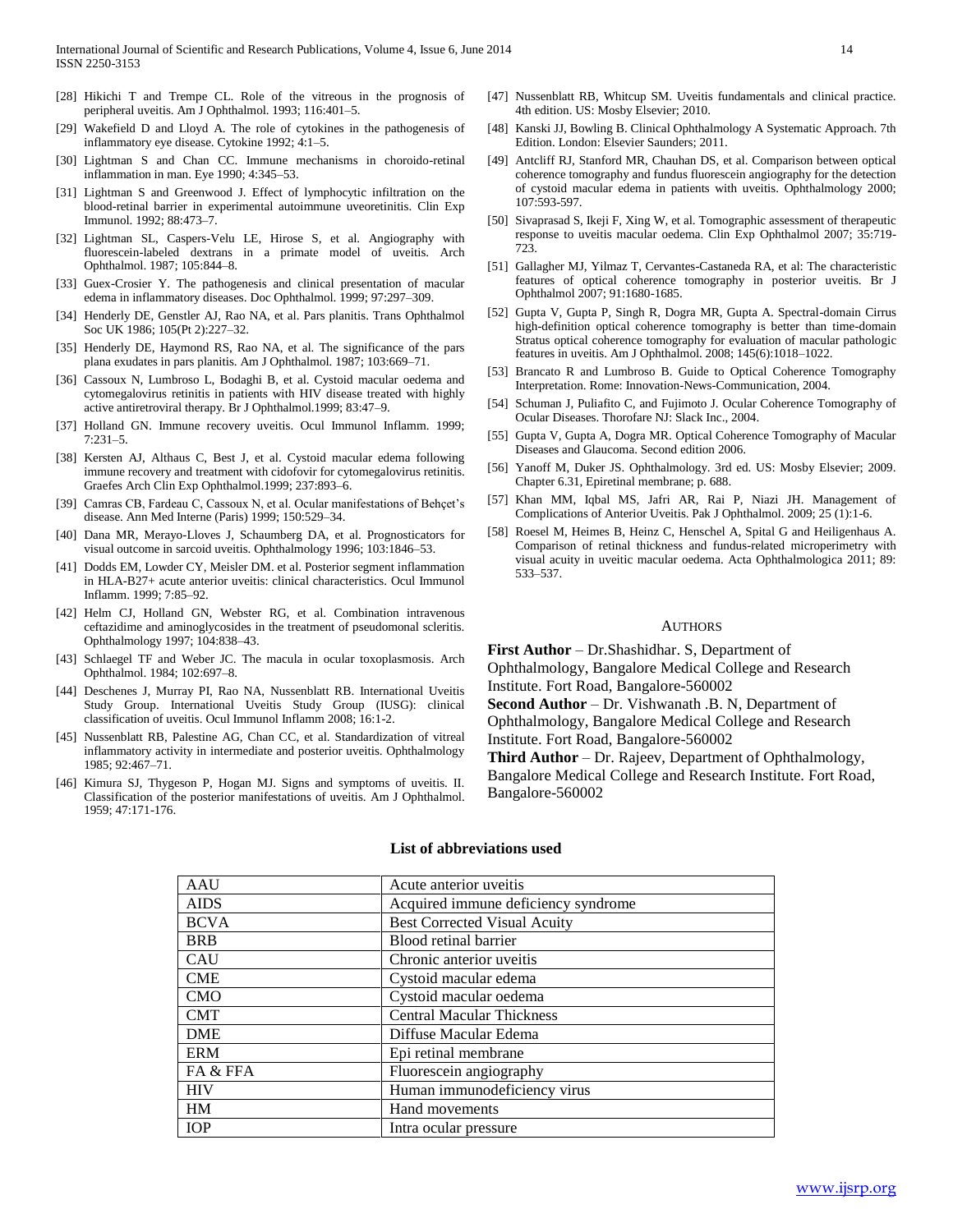- [28] Hikichi T and Trempe CL. Role of the vitreous in the prognosis of peripheral uveitis. Am J Ophthalmol. 1993; 116:401–5.
- [29] Wakefield D and Lloyd A. The role of cytokines in the pathogenesis of inflammatory eye disease. Cytokine 1992; 4:1–5.
- [30] Lightman S and Chan CC. Immune mechanisms in choroido-retinal inflammation in man. Eye 1990; 4:345–53.
- [31] Lightman S and Greenwood J. Effect of lymphocytic infiltration on the blood-retinal barrier in experimental autoimmune uveoretinitis. Clin Exp Immunol. 1992; 88:473–7.
- [32] Lightman SL, Caspers-Velu LE, Hirose S, et al. Angiography with fluorescein-labeled dextrans in a primate model of uveitis. Arch Ophthalmol. 1987; 105:844–8.
- [33] Guex-Crosier Y. The pathogenesis and clinical presentation of macular edema in inflammatory diseases. Doc Ophthalmol. 1999; 97:297–309.
- [34] Henderly DE, Genstler AJ, Rao NA, et al. Pars planitis. Trans Ophthalmol Soc UK 1986; 105(Pt 2):227–32.
- [35] Henderly DE, Haymond RS, Rao NA, et al. The significance of the pars plana exudates in pars planitis. Am J Ophthalmol. 1987; 103:669–71.
- [36] Cassoux N, Lumbroso L, Bodaghi B, et al. Cystoid macular oedema and cytomegalovirus retinitis in patients with HIV disease treated with highly active antiretroviral therapy. Br J Ophthalmol.1999; 83:47–9.
- [37] Holland GN. Immune recovery uveitis. Ocul Immunol Inflamm. 1999; 7:231–5.
- [38] Kersten AJ, Althaus C, Best J, et al. Cystoid macular edema following immune recovery and treatment with cidofovir for cytomegalovirus retinitis. Graefes Arch Clin Exp Ophthalmol.1999; 237:893–6.
- [39] Camras CB, Fardeau C, Cassoux N, et al. Ocular manifestations of Behçet's disease. Ann Med Interne (Paris) 1999; 150:529–34.
- [40] Dana MR, Merayo-Lloves J, Schaumberg DA, et al. Prognosticators for visual outcome in sarcoid uveitis. Ophthalmology 1996; 103:1846–53.
- [41] Dodds EM, Lowder CY, Meisler DM. et al. Posterior segment inflammation in HLA-B27+ acute anterior uveitis: clinical characteristics. Ocul Immunol Inflamm. 1999; 7:85–92.
- [42] Helm CJ, Holland GN, Webster RG, et al. Combination intravenous ceftazidime and aminoglycosides in the treatment of pseudomonal scleritis. Ophthalmology 1997; 104:838–43.
- [43] Schlaegel TF and Weber JC. The macula in ocular toxoplasmosis. Arch Ophthalmol. 1984; 102:697–8.
- [44] Deschenes J, Murray PI, Rao NA, Nussenblatt RB. International Uveitis Study Group. International Uveitis Study Group (IUSG): clinical classification of uveitis. Ocul Immunol Inflamm 2008; 16:1-2.
- [45] Nussenblatt RB, Palestine AG, Chan CC, et al. Standardization of vitreal inflammatory activity in intermediate and posterior uveitis. Ophthalmology 1985; 92:467–71.
- [46] Kimura SJ, Thygeson P, Hogan MJ. Signs and symptoms of uveitis. II. Classification of the posterior manifestations of uveitis. Am J Ophthalmol. 1959; 47:171-176.
- [47] Nussenblatt RB, Whitcup SM. Uveitis fundamentals and clinical practice. 4th edition. US: Mosby Elsevier; 2010.
- [48] Kanski JJ, Bowling B. Clinical Ophthalmology A Systematic Approach. 7th Edition. London: Elsevier Saunders; 2011.
- [49] Antcliff RJ, Stanford MR, Chauhan DS, et al. Comparison between optical coherence tomography and fundus fluorescein angiography for the detection of cystoid macular edema in patients with uveitis. Ophthalmology 2000; 107:593-597.
- [50] Sivaprasad S, Ikeji F, Xing W, et al. Tomographic assessment of therapeutic response to uveitis macular oedema. Clin Exp Ophthalmol 2007; 35:719- 723.
- [51] Gallagher MJ, Yilmaz T, Cervantes-Castaneda RA, et al: The characteristic features of optical coherence tomography in posterior uveitis. Br J Ophthalmol 2007; 91:1680-1685.
- [52] Gupta V, Gupta P, Singh R, Dogra MR, Gupta A. Spectral-domain Cirrus high-definition optical coherence tomography is better than time-domain Stratus optical coherence tomography for evaluation of macular pathologic features in uveitis. Am J Ophthalmol. 2008; 145(6):1018–1022.
- [53] Brancato R and Lumbroso B. Guide to Optical Coherence Tomography Interpretation. Rome: Innovation-News-Communication, 2004.
- [54] Schuman J, Puliafito C, and Fujimoto J. Ocular Coherence Tomography of Ocular Diseases. Thorofare NJ: Slack Inc., 2004.
- [55] Gupta V, Gupta A, Dogra MR. Optical Coherence Tomography of Macular Diseases and Glaucoma. Second edition 2006.
- [56] Yanoff M, Duker JS. Ophthalmology. 3rd ed. US: Mosby Elsevier; 2009. Chapter 6.31, Epiretinal membrane; p. 688.
- [57] Khan MM, Iqbal MS, Jafri AR, Rai P, Niazi JH. Management of Complications of Anterior Uveitis. Pak J Ophthalmol. 2009; 25 (1):1-6.
- [58] Roesel M, Heimes B, Heinz C, Henschel A, Spital G and Heiligenhaus A. Comparison of retinal thickness and fundus-related microperimetry with visual acuity in uveitic macular oedema. Acta Ophthalmologica 2011; 89: 533–537.

#### AUTHORS

**First Author** – Dr.Shashidhar. S, Department of Ophthalmology, Bangalore Medical College and Research Institute. Fort Road, Bangalore-560002 **Second Author** – Dr. Vishwanath .B. N, Department of Ophthalmology, Bangalore Medical College and Research

Institute. Fort Road, Bangalore-560002

**Third Author** – Dr. Rajeev, Department of Ophthalmology, Bangalore Medical College and Research Institute. Fort Road, Bangalore-560002

| AAU         | Acute anterior uveitis              |
|-------------|-------------------------------------|
| <b>AIDS</b> | Acquired immune deficiency syndrome |
| <b>BCVA</b> | <b>Best Corrected Visual Acuity</b> |
| <b>BRB</b>  | Blood retinal barrier               |
| <b>CAU</b>  | Chronic anterior uveitis            |
| <b>CME</b>  | Cystoid macular edema               |
| <b>CMO</b>  | Cystoid macular oedema              |
| <b>CMT</b>  | <b>Central Macular Thickness</b>    |
| <b>DME</b>  | Diffuse Macular Edema               |
| <b>ERM</b>  | Epi retinal membrane                |
| FA & FFA    | Fluorescein angiography             |
| <b>HIV</b>  | Human immunodeficiency virus        |
| HM          | Hand movements                      |
| <b>IOP</b>  | Intra ocular pressure               |

#### **List of abbreviations used**